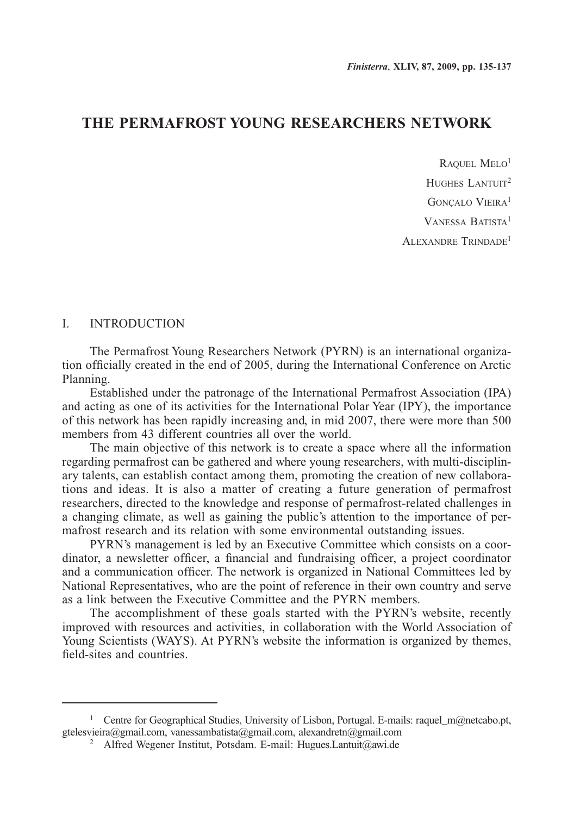## **THE PERMAFROST YOUNG RESEARCHERS NETWORK**

RAQUEL MELO<sup>1</sup> HUGHES LANTUIT<sup>2</sup> GONCALO VIEIRA<sup>1</sup> Vanessa Batista1 Alexandre Trindade1

## I. INTRODUCTION

The Permafrost Young Researchers Network (PYRN) is an international organization officially created in the end of 2005, during the International Conference on Arctic Planning.

Established under the patronage of the International Permafrost Association (IPA) and acting as one of its activities for the International Polar Year (IPY), the importance of this network has been rapidly increasing and, in mid 2007, there were more than 500 members from 43 different countries all over the world.

The main objective of this network is to create a space where all the information regarding permafrost can be gathered and where young researchers, with multi-disciplinary talents, can establish contact among them, promoting the creation of new collaborations and ideas. It is also a matter of creating a future generation of permafrost researchers, directed to the knowledge and response of permafrost-related challenges in a changing climate, as well as gaining the public's attention to the importance of permafrost research and its relation with some environmental outstanding issues.

PYRN's management is led by an Executive Committee which consists on a coordinator, a newsletter officer, a financial and fundraising officer, a project coordinator and a communication officer. The network is organized in National Committees led by National Representatives, who are the point of reference in their own country and serve as a link between the Executive Committee and the PYRN members.

The accomplishment of these goals started with the PYRN's website, recently improved with resources and activities, in collaboration with the World Association of Young Scientists (WAYS). At PYRN's website the information is organized by themes, field-sites and countries.

<sup>&</sup>lt;sup>1</sup> Centre for Geographical Studies, University of Lisbon, Portugal. E-mails: raquel\_m@netcabo.pt, gtelesvieira@gmail.com, vanessambatista@gmail.com, alexandretn@gmail.com

<sup>2</sup> Alfred Wegener Institut, Potsdam. E-mail: Hugues.Lantuit@awi.de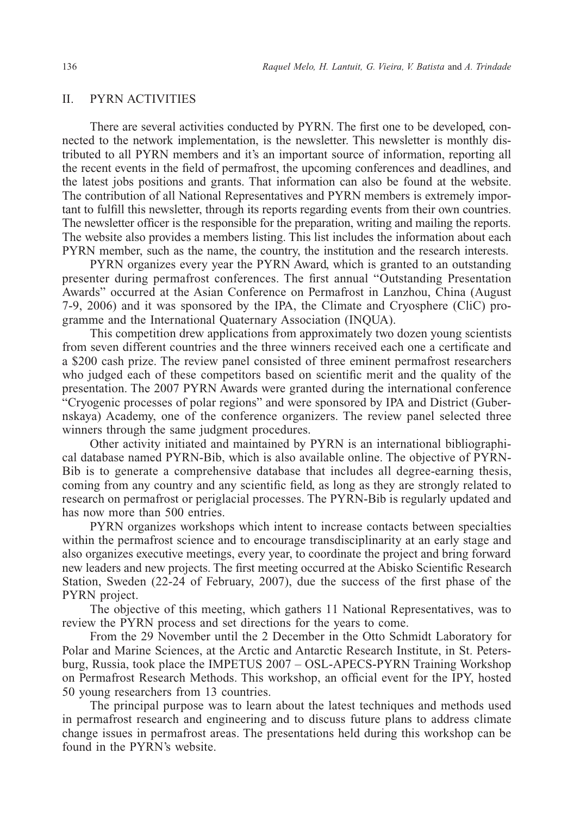## II. PYRN ACTIVITIES

There are several activities conducted by PYRN. The first one to be developed, connected to the network implementation, is the newsletter. This newsletter is monthly distributed to all PYRN members and it's an important source of information, reporting all the recent events in the field of permafrost, the upcoming conferences and deadlines, and the latest jobs positions and grants. That information can also be found at the website. The contribution of all National Representatives and PYRN members is extremely important to fulfill this newsletter, through its reports regarding events from their own countries. The newsletter officer is the responsible for the preparation, writing and mailing the reports. The website also provides a members listing. This list includes the information about each PYRN member, such as the name, the country, the institution and the research interests.

PYRN organizes every year the PYRN Award, which is granted to an outstanding presenter during permafrost conferences. The first annual "Outstanding Presentation Awards" occurred at the Asian Conference on Permafrost in Lanzhou, China (August 7-9, 2006) and it was sponsored by the IPA, the Climate and Cryosphere (CliC) programme and the International Quaternary Association (INQUA).

This competition drew applications from approximately two dozen young scientists from seven different countries and the three winners received each one a certificate and a \$200 cash prize. The review panel consisted of three eminent permafrost researchers who judged each of these competitors based on scientific merit and the quality of the presentation. The 2007 PYRN Awards were granted during the international conference "Cryogenic processes of polar regions" and were sponsored by IPA and District (Gubernskaya) Academy, one of the conference organizers. The review panel selected three winners through the same judgment procedures.

Other activity initiated and maintained by PYRN is an international bibliographical database named PYRN-Bib, which is also available online. The objective of PYRN-Bib is to generate a comprehensive database that includes all degree-earning thesis, coming from any country and any scientific field, as long as they are strongly related to research on permafrost or periglacial processes. The PYRN-Bib is regularly updated and has now more than 500 entries.

PYRN organizes workshops which intent to increase contacts between specialties within the permafrost science and to encourage transdisciplinarity at an early stage and also organizes executive meetings, every year, to coordinate the project and bring forward new leaders and new projects. The first meeting occurred at the Abisko Scientific Research Station, Sweden (22-24 of February, 2007), due the success of the first phase of the PYRN project.

The objective of this meeting, which gathers 11 National Representatives, was to review the PYRN process and set directions for the years to come.

From the 29 November until the 2 December in the Otto Schmidt Laboratory for Polar and Marine Sciences, at the Arctic and Antarctic Research Institute, in St. Petersburg, Russia, took place the IMPETUS 2007 – OSL-APECS-PYRN Training Workshop on Permafrost Research Methods. This workshop, an official event for the IPY, hosted 50 young researchers from 13 countries.

The principal purpose was to learn about the latest techniques and methods used in permafrost research and engineering and to discuss future plans to address climate change issues in permafrost areas. The presentations held during this workshop can be found in the PYRN's website.